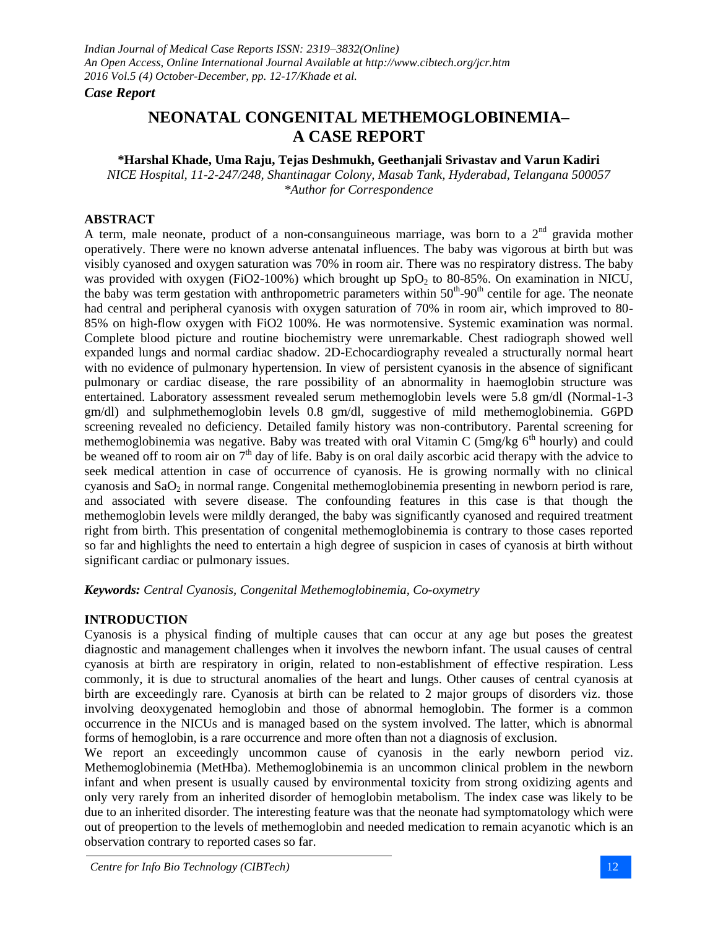### *Case Report*

# **NEONATAL CONGENITAL METHEMOGLOBINEMIA– A CASE REPORT**

### **\*Harshal Khade, Uma Raju, Tejas Deshmukh, Geethanjali Srivastav and Varun Kadiri**

*NICE Hospital, 11-2-247/248, Shantinagar Colony, Masab Tank, Hyderabad, Telangana 500057 \*Author for Correspondence*

### **ABSTRACT**

A term, male neonate, product of a non-consanguineous marriage, was born to a  $2<sup>nd</sup>$  gravida mother operatively. There were no known adverse antenatal influences. The baby was vigorous at birth but was visibly cyanosed and oxygen saturation was 70% in room air. There was no respiratory distress. The baby was provided with oxygen (FiO2-100%) which brought up  $SpO<sub>2</sub>$  to 80-85%. On examination in NICU, the baby was term gestation with anthropometric parameters within  $50<sup>th</sup>$ -90<sup>th</sup> centile for age. The neonate had central and peripheral cyanosis with oxygen saturation of 70% in room air, which improved to 80- 85% on high-flow oxygen with FiO2 100%. He was normotensive. Systemic examination was normal. Complete blood picture and routine biochemistry were unremarkable. Chest radiograph showed well expanded lungs and normal cardiac shadow. 2D-Echocardiography revealed a structurally normal heart with no evidence of pulmonary hypertension. In view of persistent cyanosis in the absence of significant pulmonary or cardiac disease, the rare possibility of an abnormality in haemoglobin structure was entertained. Laboratory assessment revealed serum methemoglobin levels were 5.8 gm/dl (Normal-1-3 gm/dl) and sulphmethemoglobin levels 0.8 gm/dl, suggestive of mild methemoglobinemia. G6PD screening revealed no deficiency. Detailed family history was non-contributory. Parental screening for methemoglobinemia was negative. Baby was treated with oral Vitamin C (5mg/kg  $6<sup>th</sup>$  hourly) and could be weaned off to room air on 7<sup>th</sup> day of life. Baby is on oral daily ascorbic acid therapy with the advice to seek medical attention in case of occurrence of cyanosis. He is growing normally with no clinical cyanosis and  $SaO<sub>2</sub>$  in normal range. Congenital methemoglobinemia presenting in newborn period is rare, and associated with severe disease. The confounding features in this case is that though the methemoglobin levels were mildly deranged, the baby was significantly cyanosed and required treatment right from birth. This presentation of congenital methemoglobinemia is contrary to those cases reported so far and highlights the need to entertain a high degree of suspicion in cases of cyanosis at birth without significant cardiac or pulmonary issues.

*Keywords: Central Cyanosis, Congenital Methemoglobinemia, Co-oxymetry*

### **INTRODUCTION**

Cyanosis is a physical finding of multiple causes that can occur at any age but poses the greatest diagnostic and management challenges when it involves the newborn infant. The usual causes of central cyanosis at birth are respiratory in origin, related to non-establishment of effective respiration. Less commonly, it is due to structural anomalies of the heart and lungs. Other causes of central cyanosis at birth are exceedingly rare. Cyanosis at birth can be related to 2 major groups of disorders viz. those involving deoxygenated hemoglobin and those of abnormal hemoglobin. The former is a common occurrence in the NICUs and is managed based on the system involved. The latter, which is abnormal forms of hemoglobin, is a rare occurrence and more often than not a diagnosis of exclusion.

We report an exceedingly uncommon cause of cyanosis in the early newborn period viz. Methemoglobinemia (MetHba). Methemoglobinemia is an uncommon clinical problem in the newborn infant and when present is usually caused by environmental toxicity from strong oxidizing agents and only very rarely from an inherited disorder of hemoglobin metabolism. The index case was likely to be due to an inherited disorder. The interesting feature was that the neonate had symptomatology which were out of preopertion to the levels of methemoglobin and needed medication to remain acyanotic which is an observation contrary to reported cases so far.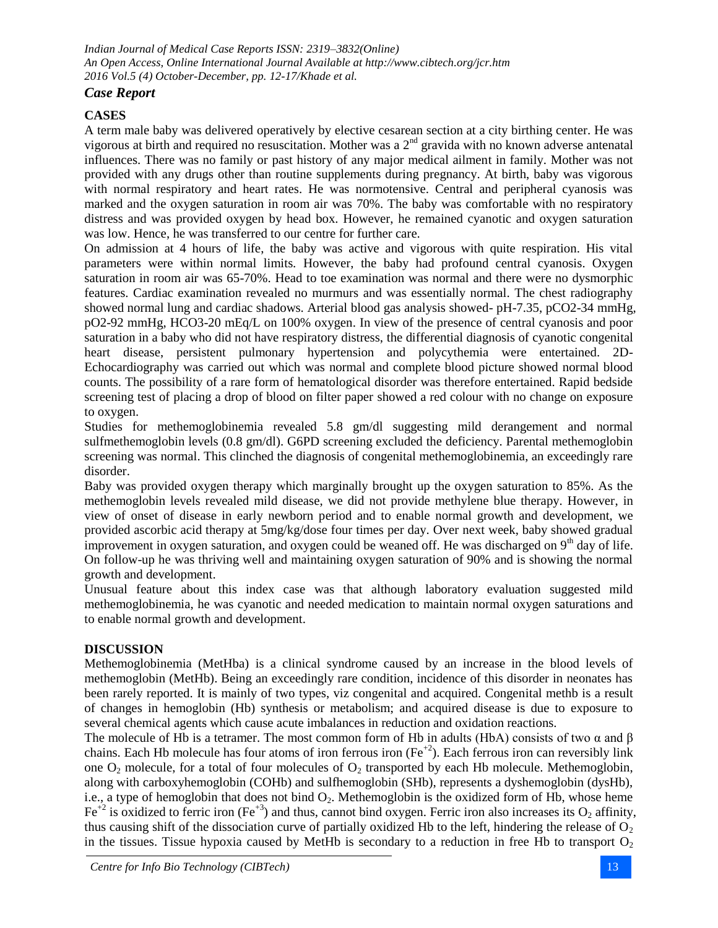### *Case Report*

## **CASES**

A term male baby was delivered operatively by elective cesarean section at a city birthing center. He was vigorous at birth and required no resuscitation. Mother was a  $2<sup>nd</sup>$  gravida with no known adverse antenatal influences. There was no family or past history of any major medical ailment in family. Mother was not provided with any drugs other than routine supplements during pregnancy. At birth, baby was vigorous with normal respiratory and heart rates. He was normotensive. Central and peripheral cyanosis was marked and the oxygen saturation in room air was 70%. The baby was comfortable with no respiratory distress and was provided oxygen by head box. However, he remained cyanotic and oxygen saturation was low. Hence, he was transferred to our centre for further care.

On admission at 4 hours of life, the baby was active and vigorous with quite respiration. His vital parameters were within normal limits. However, the baby had profound central cyanosis. Oxygen saturation in room air was 65-70%. Head to toe examination was normal and there were no dysmorphic features. Cardiac examination revealed no murmurs and was essentially normal. The chest radiography showed normal lung and cardiac shadows. Arterial blood gas analysis showed- pH-7.35, pCO2-34 mmHg, pO2-92 mmHg, HCO3-20 mEq/L on 100% oxygen. In view of the presence of central cyanosis and poor saturation in a baby who did not have respiratory distress, the differential diagnosis of cyanotic congenital heart disease, persistent pulmonary hypertension and polycythemia were entertained. 2D-Echocardiography was carried out which was normal and complete blood picture showed normal blood counts. The possibility of a rare form of hematological disorder was therefore entertained. Rapid bedside screening test of placing a drop of blood on filter paper showed a red colour with no change on exposure to oxygen.

Studies for methemoglobinemia revealed 5.8 gm/dl suggesting mild derangement and normal sulfmethemoglobin levels (0.8 gm/dl). G6PD screening excluded the deficiency. Parental methemoglobin screening was normal. This clinched the diagnosis of congenital methemoglobinemia, an exceedingly rare disorder.

Baby was provided oxygen therapy which marginally brought up the oxygen saturation to 85%. As the methemoglobin levels revealed mild disease, we did not provide methylene blue therapy. However, in view of onset of disease in early newborn period and to enable normal growth and development, we provided ascorbic acid therapy at 5mg/kg/dose four times per day. Over next week, baby showed gradual improvement in oxygen saturation, and oxygen could be weaned off. He was discharged on 9<sup>th</sup> day of life. On follow-up he was thriving well and maintaining oxygen saturation of 90% and is showing the normal growth and development.

Unusual feature about this index case was that although laboratory evaluation suggested mild methemoglobinemia, he was cyanotic and needed medication to maintain normal oxygen saturations and to enable normal growth and development.

### **DISCUSSION**

Methemoglobinemia (MetHba) is a clinical syndrome caused by an increase in the blood levels of methemoglobin (MetHb). Being an exceedingly rare condition, incidence of this disorder in neonates has been rarely reported. It is mainly of two types, viz congenital and acquired. Congenital methb is a result of changes in hemoglobin (Hb) synthesis or metabolism; and acquired disease is due to exposure to several chemical agents which cause acute imbalances in reduction and oxidation reactions.

The molecule of Hb is a tetramer. The most common form of Hb in adults (HbA) consists of two  $\alpha$  and  $\beta$ chains. Each Hb molecule has four atoms of iron ferrous iron  $(Fe^{+2})$ . Each ferrous iron can reversibly link one  $O_2$  molecule, for a total of four molecules of  $O_2$  transported by each Hb molecule. Methemoglobin, along with carboxyhemoglobin (COHb) and sulfhemoglobin (SHb), represents a dyshemoglobin (dysHb), i.e., a type of hemoglobin that does not bind  $O<sub>2</sub>$ . Methemoglobin is the oxidized form of Hb, whose heme  $Fe^{+2}$  is oxidized to ferric iron (Fe<sup>+3</sup>) and thus, cannot bind oxygen. Ferric iron also increases its O<sub>2</sub> affinity, thus causing shift of the dissociation curve of partially oxidized Hb to the left, hindering the release of  $O_2$ in the tissues. Tissue hypoxia caused by MetHb is secondary to a reduction in free Hb to transport  $O_2$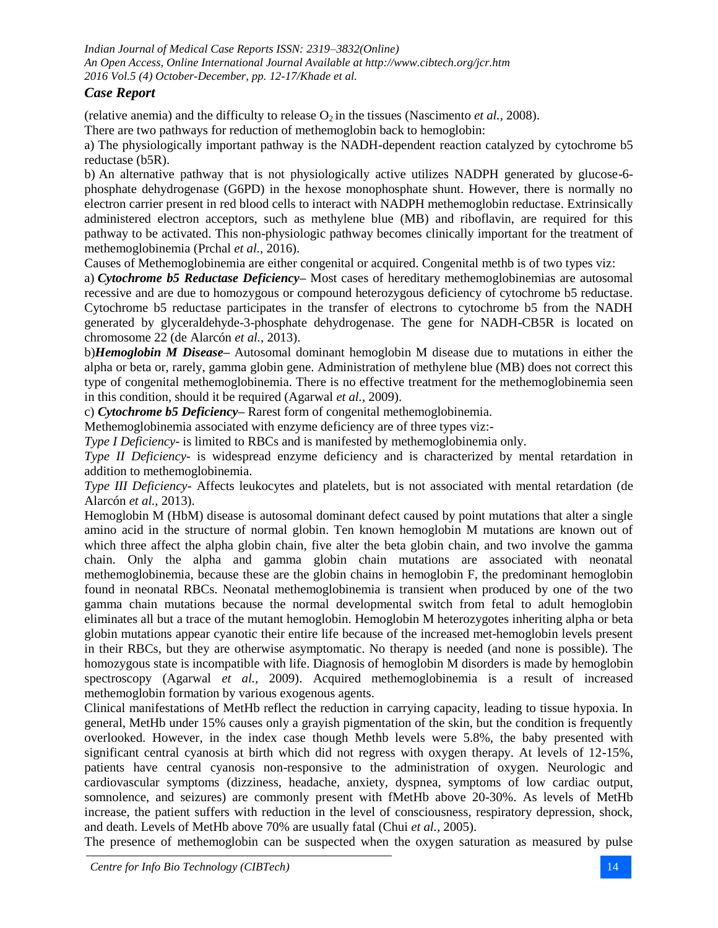## *Case Report*

(relative anemia) and the difficulty to release  $O_2$  in the tissues (Nascimento *et al.*, 2008).

There are two pathways for reduction of methemoglobin back to hemoglobin:

a) The physiologically important pathway is the NADH-dependent reaction catalyzed by cytochrome b5 reductase (b5R).

b) An alternative pathway that is not physiologically active utilizes NADPH generated by glucose-6 phosphate dehydrogenase (G6PD) in the hexose monophosphate shunt. However, there is normally no electron carrier present in red blood cells to interact with NADPH methemoglobin reductase. Extrinsically administered electron acceptors, such as methylene blue (MB) and riboflavin, are required for this pathway to be activated. This non-physiologic pathway becomes clinically important for the treatment of methemoglobinemia (Prchal *et al.,* 2016).

Causes of Methemoglobinemia are either congenital or acquired. Congenital methb is of two types viz:

a) *Cytochrome b5 Reductase Deficiency–* Most cases of hereditary methemoglobinemias are autosomal recessive and are due to homozygous or compound heterozygous deficiency of cytochrome b5 reductase. Cytochrome b5 reductase participates in the transfer of electrons to cytochrome b5 from the NADH generated by glyceraldehyde-3-phosphate dehydrogenase. The gene for NADH-CB5R is located on chromosome 22 (de Alarcón *et al.,* 2013).

b)*Hemoglobin M Disease–* Autosomal dominant hemoglobin M disease due to mutations in either the alpha or beta or, rarely, gamma globin gene. Administration of methylene blue (MB) does not correct this type of congenital methemoglobinemia. There is no effective treatment for the methemoglobinemia seen in this condition, should it be required (Agarwal *et al.,* 2009).

c) *Cytochrome b5 Deficiency–* Rarest form of congenital methemoglobinemia.

Methemoglobinemia associated with enzyme deficiency are of three types viz:-

*Type I Deficiency-* is limited to RBCs and is manifested by methemoglobinemia only.

*Type II Deficiency-* is widespread enzyme deficiency and is characterized by mental retardation in addition to methemoglobinemia.

*Type III Deficiency*- Affects leukocytes and platelets, but is not associated with mental retardation (de Alarcón *et al.,* 2013).

Hemoglobin M (HbM) disease is autosomal dominant defect caused by point mutations that alter a single amino acid in the structure of normal globin. Ten known hemoglobin M mutations are known out of which three affect the alpha globin chain, five alter the beta globin chain, and two involve the gamma chain. Only the alpha and gamma globin chain mutations are associated with neonatal methemoglobinemia, because these are the globin chains in hemoglobin F, the predominant hemoglobin found in neonatal RBCs. Neonatal methemoglobinemia is transient when produced by one of the two gamma chain mutations because the normal developmental switch from fetal to adult hemoglobin eliminates all but a trace of the mutant hemoglobin. Hemoglobin M heterozygotes inheriting alpha or beta globin mutations appear cyanotic their entire life because of the increased met-hemoglobin levels present in their RBCs, but they are otherwise asymptomatic. No therapy is needed (and none is possible). The homozygous state is incompatible with life. Diagnosis of hemoglobin M disorders is made by hemoglobin spectroscopy (Agarwal *et al.,* 2009). Acquired methemoglobinemia is a result of increased methemoglobin formation by various exogenous agents.

Clinical manifestations of MetHb reflect the reduction in carrying capacity, leading to tissue hypoxia. In general, MetHb under 15% causes only a grayish pigmentation of the skin, but the condition is frequently overlooked. However, in the index case though Methb levels were 5.8%, the baby presented with significant central cyanosis at birth which did not regress with oxygen therapy. At levels of 12-15%, patients have central cyanosis non-responsive to the administration of oxygen. Neurologic and cardiovascular symptoms (dizziness, headache, anxiety, dyspnea, symptoms of low cardiac output, somnolence, and seizures) are commonly present with fMetHb above 20-30%. As levels of MetHb increase, the patient suffers with reduction in the level of consciousness, respiratory depression, shock, and death. Levels of MetHb above 70% are usually fatal (Chui *et al.,* 2005).

The presence of methemoglobin can be suspected when the oxygen saturation as measured by pulse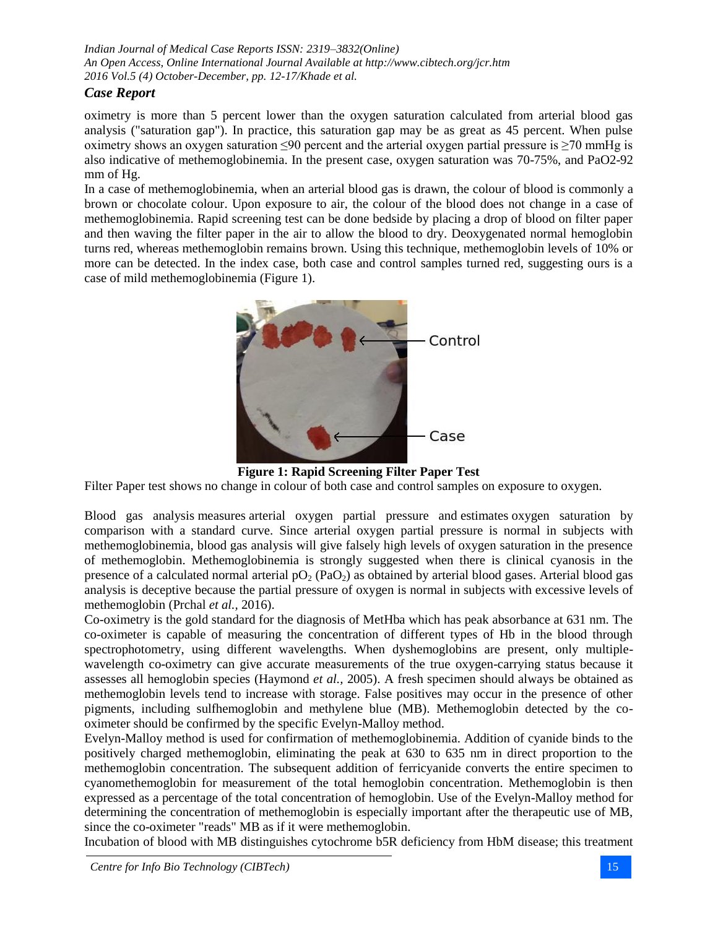## *Case Report*

oximetry is more than 5 percent lower than the oxygen saturation calculated from arterial blood gas analysis ("saturation gap"). In practice, this saturation gap may be as great as 45 percent. When pulse oximetry shows an oxygen saturation ≤90 percent and the arterial oxygen partial pressure is ≥70 mmHg is also indicative of methemoglobinemia. In the present case, oxygen saturation was 70-75%, and PaO2-92 mm of Hg.

In a case of methemoglobinemia, when an arterial blood gas is drawn, the colour of blood is commonly a brown or chocolate colour. Upon exposure to air, the colour of the blood does not change in a case of methemoglobinemia. Rapid screening test can be done bedside by placing a drop of blood on filter paper and then waving the filter paper in the air to allow the blood to dry. Deoxygenated normal hemoglobin turns red, whereas methemoglobin remains brown. Using this technique, methemoglobin levels of 10% or more can be detected. In the index case, both case and control samples turned red, suggesting ours is a case of mild methemoglobinemia (Figure 1).



**Figure 1: Rapid Screening Filter Paper Test**

Filter Paper test shows no change in colour of both case and control samples on exposure to oxygen.

Blood gas analysis measures arterial oxygen partial pressure and estimates oxygen saturation by comparison with a standard curve. Since arterial oxygen partial pressure is normal in subjects with methemoglobinemia, blood gas analysis will give falsely high levels of oxygen saturation in the presence of methemoglobin. Methemoglobinemia is strongly suggested when there is clinical cyanosis in the presence of a calculated normal arterial  $pO_2$  (PaO<sub>2</sub>) as obtained by arterial blood gases. Arterial blood gas analysis is deceptive because the partial pressure of oxygen is normal in subjects with excessive levels of methemoglobin (Prchal *et al.,* 2016).

Co-oximetry is the gold standard for the diagnosis of MetHba which has peak absorbance at 631 nm. The co-oximeter is capable of measuring the concentration of different types of Hb in the blood through spectrophotometry, using different wavelengths. When dyshemoglobins are present, only multiplewavelength co-oximetry can give accurate measurements of the true oxygen-carrying status because it assesses all hemoglobin species (Haymond *et al.,* 2005). A fresh specimen should always be obtained as methemoglobin levels tend to increase with storage. False positives may occur in the presence of other pigments, including sulfhemoglobin and methylene blue (MB). Methemoglobin detected by the cooximeter should be confirmed by the specific Evelyn-Malloy method.

Evelyn-Malloy method is used for confirmation of methemoglobinemia. Addition of cyanide binds to the positively charged methemoglobin, eliminating the peak at 630 to 635 nm in direct proportion to the methemoglobin concentration. The subsequent addition of ferricyanide converts the entire specimen to cyanomethemoglobin for measurement of the total hemoglobin concentration. Methemoglobin is then expressed as a percentage of the total concentration of hemoglobin. Use of the Evelyn-Malloy method for determining the concentration of methemoglobin is especially important after the therapeutic use of MB, since the co-oximeter "reads" MB as if it were methemoglobin.

Incubation of blood with MB distinguishes cytochrome b5R deficiency from HbM disease; this treatment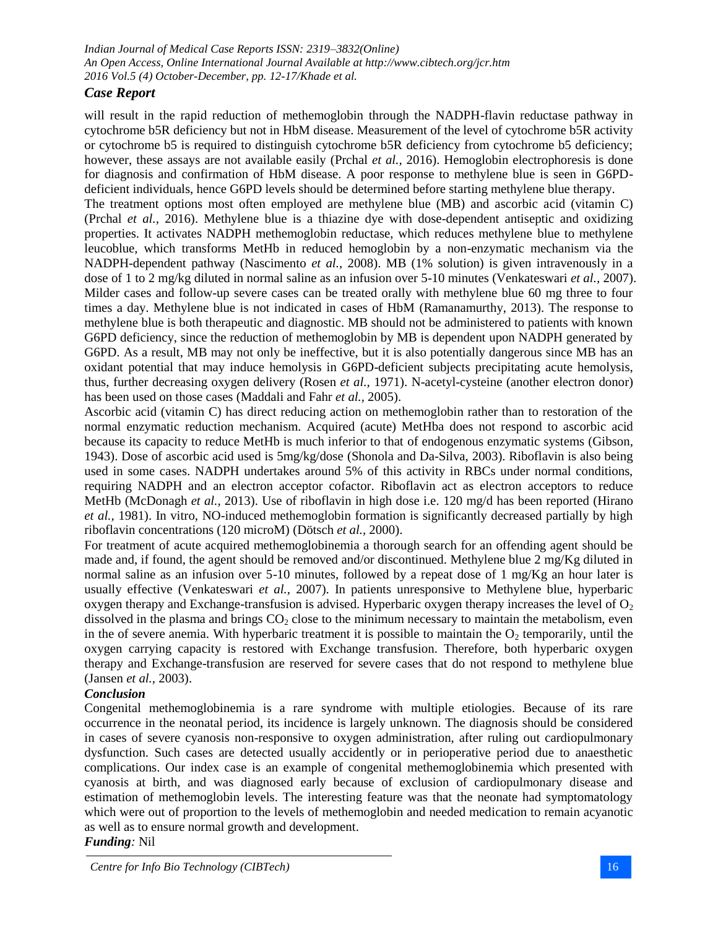## *Case Report*

will result in the rapid reduction of methemoglobin through the NADPH-flavin reductase pathway in cytochrome b5R deficiency but not in HbM disease. Measurement of the level of cytochrome b5R activity or cytochrome b5 is required to distinguish cytochrome b5R deficiency from cytochrome b5 deficiency; however, these assays are not available easily (Prchal *et al.,* 2016). Hemoglobin electrophoresis is done for diagnosis and confirmation of HbM disease. A poor response to methylene blue is seen in G6PDdeficient individuals, hence G6PD levels should be determined before starting methylene blue therapy.

The treatment options most often employed are methylene blue (MB) and ascorbic acid (vitamin C) (Prchal *et al.,* 2016). Methylene blue is a thiazine dye with dose-dependent antiseptic and oxidizing properties. It activates NADPH methemoglobin reductase, which reduces methylene blue to methylene leucoblue, which transforms MetHb in reduced hemoglobin by a non-enzymatic mechanism via the NADPH-dependent pathway (Nascimento *et al.,* 2008). MB (1% solution) is given intravenously in a dose of 1 to 2 mg/kg diluted in normal saline as an infusion over 5-10 minutes (Venkateswari *et al.,* 2007). Milder cases and follow-up severe cases can be treated orally with methylene blue 60 mg three to four times a day. Methylene blue is not indicated in cases of HbM (Ramanamurthy, 2013). The response to methylene blue is both therapeutic and diagnostic. MB should not be administered to patients with known G6PD deficiency, since the reduction of methemoglobin by MB is dependent upon NADPH generated by G6PD. As a result, MB may not only be ineffective, but it is also potentially dangerous since MB has an oxidant potential that may induce hemolysis in G6PD-deficient subjects precipitating acute hemolysis, thus, further decreasing oxygen delivery (Rosen *et al.,* 1971). N-acetyl-cysteine (another electron donor) has been used on those cases (Maddali and Fahr *et al.,* 2005).

Ascorbic acid (vitamin C) has direct reducing action on methemoglobin rather than to restoration of the normal enzymatic reduction mechanism. Acquired (acute) MetHba does not respond to ascorbic acid because its capacity to reduce MetHb is much inferior to that of endogenous enzymatic systems (Gibson, 1943). Dose of ascorbic acid used is 5mg/kg/dose (Shonola and Da-Silva, 2003). Riboflavin is also being used in some cases. NADPH undertakes around 5% of this activity in RBCs under normal conditions, requiring NADPH and an electron acceptor cofactor. Riboflavin act as electron acceptors to reduce MetHb (McDonagh *et al.,* 2013). Use of riboflavin in high dose i.e. 120 mg/d has been reported (Hirano *et al.,* 1981). In vitro, NO-induced methemoglobin formation is significantly decreased partially by high riboflavin concentrations (120 microM) (Dötsch *et al.,* 2000).

For treatment of acute acquired methemoglobinemia a thorough search for an offending agent should be made and, if found, the agent should be removed and/or discontinued. Methylene blue 2 mg/Kg diluted in normal saline as an infusion over 5-10 minutes, followed by a repeat dose of 1 mg/Kg an hour later is usually effective (Venkateswari *et al.,* 2007). In patients unresponsive to Methylene blue, hyperbaric oxygen therapy and Exchange-transfusion is advised. Hyperbaric oxygen therapy increases the level of  $O<sub>2</sub>$ dissolved in the plasma and brings  $CO<sub>2</sub>$  close to the minimum necessary to maintain the metabolism, even in the of severe anemia. With hyperbaric treatment it is possible to maintain the  $O_2$  temporarily, until the oxygen carrying capacity is restored with Exchange transfusion. Therefore, both hyperbaric oxygen therapy and Exchange-transfusion are reserved for severe cases that do not respond to methylene blue (Jansen *et al.,* 2003).

### *Conclusion*

Congenital methemoglobinemia is a rare syndrome with multiple etiologies. Because of its rare occurrence in the neonatal period, its incidence is largely unknown. The diagnosis should be considered in cases of severe cyanosis non-responsive to oxygen administration, after ruling out cardiopulmonary dysfunction. Such cases are detected usually accidently or in perioperative period due to anaesthetic complications. Our index case is an example of congenital methemoglobinemia which presented with cyanosis at birth, and was diagnosed early because of exclusion of cardiopulmonary disease and estimation of methemoglobin levels. The interesting feature was that the neonate had symptomatology which were out of proportion to the levels of methemoglobin and needed medication to remain acyanotic as well as to ensure normal growth and development.

## *Funding:* Nil